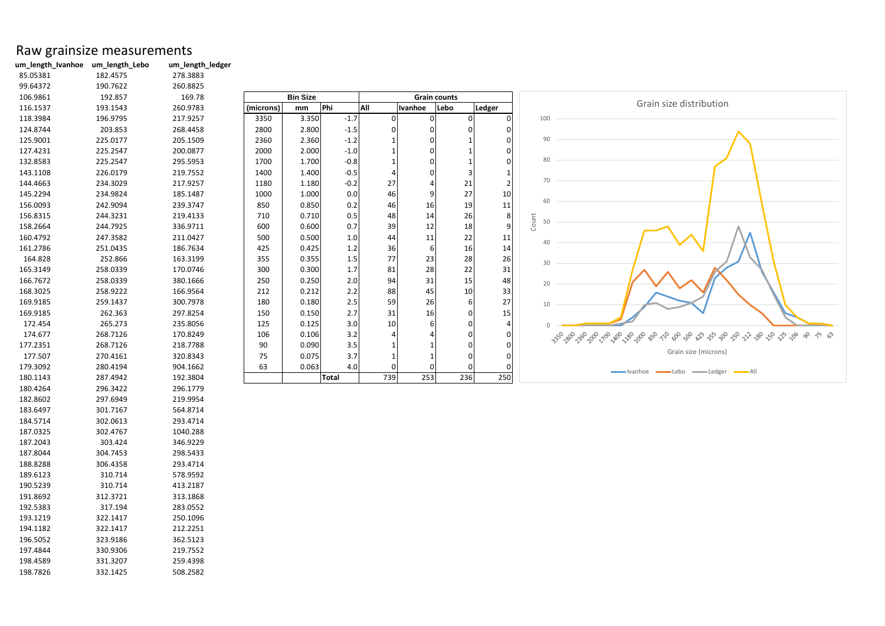## Raw grainsize measurements<br>um\_length\_Ivanhoe um\_length\_Lebo um\_length\_ledger

**um\_length\_Ivanhoe um\_length\_Lebo um\_length\_ledger**

| 85.05381 | 182.4575 | 278.3883 |           |                 |              |     |                |                     |                |             |                                     |       |
|----------|----------|----------|-----------|-----------------|--------------|-----|----------------|---------------------|----------------|-------------|-------------------------------------|-------|
| 99.64372 | 190.7622 | 260.8825 |           |                 |              |     |                |                     |                |             |                                     |       |
| 106.9861 | 192.857  | 169.78   |           | <b>Bin Size</b> |              |     |                | <b>Grain counts</b> |                |             |                                     |       |
| 116.1537 | 193.1543 | 260.9783 | (microns) | mm              | Phi          | All | Ivanhoe        | Lebo                | <b>Ledger</b>  |             |                                     | Grain |
| 118.3984 | 196.9795 | 217.9257 | 3350      | 3.350           | $-1.7$       | 0   | $\Omega$       | 0                   | $\overline{0}$ | 100         |                                     |       |
| 124.8744 | 203.853  | 268.4458 | 2800      | 2.800           | $-1.5$       | 0   | 0              | 0                   | $\overline{0}$ |             |                                     |       |
| 125.9001 | 225.0177 | 205.1509 | 2360      | 2.360           | $-1.2$       |     | $\Omega$       |                     | $\Omega$       | 90          |                                     |       |
| 127.4231 | 225.2547 | 200.0877 | 2000      | 2.000           | $-1.0$       |     | $\Omega$       |                     | 01             |             |                                     |       |
| 132.8583 | 225.2547 | 295.5953 | 1700      | 1.700           | $-0.8$       |     | $\overline{0}$ |                     | $\Omega$       | 80          |                                     |       |
| 143.1108 | 226.0179 | 219.7552 | 1400      | 1.400           | $-0.5$       |     | $\Omega$       |                     | -1             |             |                                     |       |
| 144.4663 | 234.3029 | 217.9257 | 1180      | 1.180           | $-0.2$       | 27  | 4              | 21                  | $\overline{2}$ | 70          |                                     |       |
| 145.2294 | 234.9824 | 185.1487 | 1000      | 1.000           | 0.0          | 46  | $\overline{9}$ | 27                  | 10             |             |                                     |       |
| 156.0093 | 242.9094 | 239.3747 | 850       | 0.850           | 0.2          | 46  | 16             | 19                  | 11             | 60          |                                     |       |
| 156.8315 | 244.3231 | 219.4133 | 710       | 0.710           | 0.5          | 48  | 14             | 26                  | 8              |             |                                     |       |
| 158.2664 | 244.7925 | 336.9711 | 600       | 0.600           | 0.7          | 39  | 12             | 18                  | 9              | Count<br>50 |                                     |       |
| 160.4792 | 247.3582 | 211.0427 | 500       | 0.500           | 1.0          | 44  | 11             | 22                  | 11             | 40          |                                     |       |
| 161.2786 | 251.0435 | 186.7634 | 425       | 0.425           | 1.2          | 36  | $6 \mid$       | 16                  | 14             |             |                                     |       |
| 164.828  | 252.866  | 163.3199 | 355       | 0.355           | 1.5          | 77  | 23             | 28                  | 26             | 30          |                                     |       |
| 165.3149 | 258.0339 | 170.0746 | 300       | 0.300           | 1.7          | 81  | 28             | 22                  | 31             |             |                                     |       |
| 166.7672 | 258.0339 | 380.1666 | 250       | 0.250           | 2.0          | 94  | 31             | 15                  | 48             | 20          |                                     |       |
| 168.3025 | 258.9222 | 166.9564 | 212       | 0.212           | 2.2          | 88  | 45             | 10                  | 33             |             |                                     |       |
| 169.9185 | 259.1437 | 300.7978 | 180       | 0.180           | 2.5          | 59  | 26             | 6                   | 27             | 10          |                                     |       |
| 169.9185 | 262.363  | 297.8254 | 150       | 0.150           | 2.7          | 31  | 16             | 0                   | 15             |             |                                     |       |
| 172.454  | 265.273  | 235.8056 | 125       | 0.125           | 3.0          | 10  | $6 \mid$       |                     | 4              |             |                                     |       |
| 174.677  | 268.7126 | 170.8249 | 106       | 0.106           | 3.2          | 4   |                |                     | 01             |             | 359 289 299 200 210 220 230 290 390 |       |
| 177.2351 | 268.7126 | 218.7788 | 90        | 0.090           | 3.5          |     |                |                     | $\Omega$       |             |                                     |       |
| 177.507  | 270.4161 | 320.8343 | 75        | 0.075           | 3.7          |     |                | 0                   | $\overline{0}$ |             |                                     |       |
| 179.3092 | 280.4194 | 904.1662 | 63        | 0.063           | 4.0          | ი   | $\Omega$       |                     | $\Omega$       |             | $\longrightarrow$ Ivanhoe           |       |
| 180.1143 | 287.4942 | 192.3804 |           |                 | <b>Total</b> | 739 | 253            | 236                 | 250            |             |                                     |       |
| 180.4264 | 296.3422 | 296.1779 |           |                 |              |     |                |                     |                |             |                                     |       |
| 182.8602 | 297.6949 | 219.9954 |           |                 |              |     |                |                     |                |             |                                     |       |
| 183.6497 | 301.7167 | 564.8714 |           |                 |              |     |                |                     |                |             |                                     |       |
| 184.5714 | 302.0613 | 293.4714 |           |                 |              |     |                |                     |                |             |                                     |       |
| 187.0325 | 302.4767 | 1040.288 |           |                 |              |     |                |                     |                |             |                                     |       |
| 187.2043 | 303.424  | 346.9229 |           |                 |              |     |                |                     |                |             |                                     |       |
| 187.8044 | 304.7453 | 298.5433 |           |                 |              |     |                |                     |                |             |                                     |       |
| 188.8288 | 306.4358 | 293.4714 |           |                 |              |     |                |                     |                |             |                                     |       |
| 189.6123 | 310.714  | 578.9592 |           |                 |              |     |                |                     |                |             |                                     |       |
| 190.5239 | 310.714  | 413.2187 |           |                 |              |     |                |                     |                |             |                                     |       |
| 191.8692 | 312.3721 | 313.1868 |           |                 |              |     |                |                     |                |             |                                     |       |
| 192.5383 | 317.194  | 283.0552 |           |                 |              |     |                |                     |                |             |                                     |       |
| 193.1219 | 322.1417 | 250.1096 |           |                 |              |     |                |                     |                |             |                                     |       |
| 194.1182 | 322.1417 | 212.2251 |           |                 |              |     |                |                     |                |             |                                     |       |
| 196.5052 | 323.9186 | 362.5123 |           |                 |              |     |                |                     |                |             |                                     |       |
| 197.4844 | 330.9306 | 219.7552 |           |                 |              |     |                |                     |                |             |                                     |       |
| 198.4589 | 331.3207 | 259.4398 |           |                 |              |     |                |                     |                |             |                                     |       |
| 198.7826 | 332.1425 | 508.2582 |           |                 |              |     |                |                     |                |             |                                     |       |

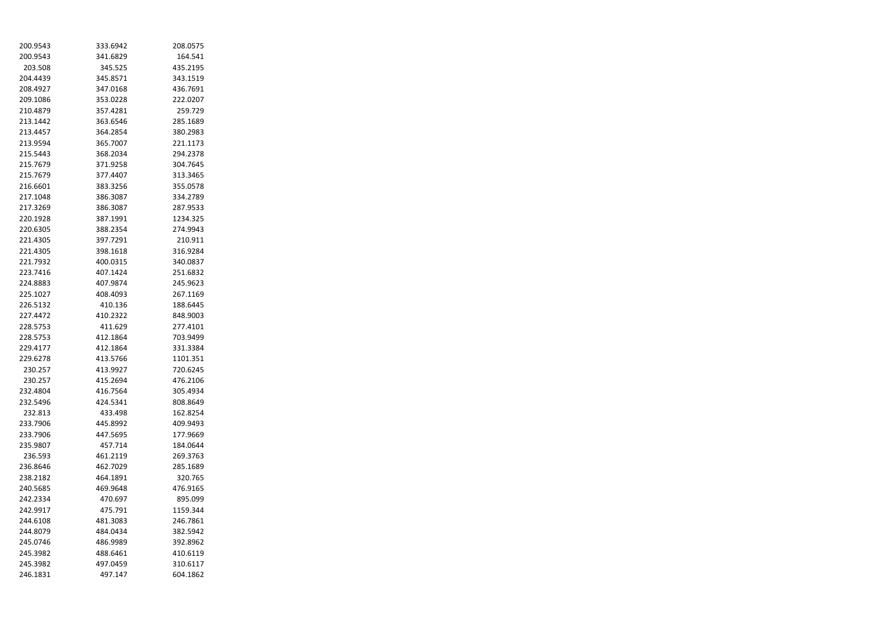| 200.9543 | 333.6942 | 208.0575 |
|----------|----------|----------|
| 200.9543 | 341.6829 | 164.541  |
| 203.508  | 345.525  | 435.2195 |
| 204.4439 | 345.8571 | 343.1519 |
| 208.4927 | 347.0168 | 436.7691 |
| 209.1086 | 353.0228 | 222.0207 |
| 210.4879 | 357.4281 | 259.729  |
| 213.1442 | 363.6546 | 285.1689 |
| 213.4457 | 364.2854 | 380.2983 |
| 213.9594 | 365.7007 | 221.1173 |
| 215.5443 | 368.2034 | 294.2378 |
| 215.7679 | 371.9258 | 304.7645 |
| 215.7679 | 377.4407 | 313.3465 |
| 216.6601 | 383.3256 | 355.0578 |
| 217.1048 | 386.3087 | 334.2789 |
| 217.3269 | 386.3087 | 287.9533 |
| 220.1928 | 387.1991 | 1234.325 |
| 220.6305 | 388.2354 | 274.9943 |
| 221.4305 | 397.7291 | 210.911  |
| 221.4305 | 398.1618 | 316.9284 |
| 221.7932 | 400.0315 | 340.0837 |
| 223.7416 | 407.1424 | 251.6832 |
| 224.8883 | 407.9874 | 245.9623 |
| 225.1027 | 408.4093 | 267.1169 |
| 226.5132 | 410.136  | 188.6445 |
| 227.4472 | 410.2322 | 848.9003 |
| 228.5753 | 411.629  | 277.4101 |
| 228.5753 | 412.1864 | 703.9499 |
| 229.4177 | 412.1864 | 331.3384 |
| 229.6278 | 413.5766 | 1101.351 |
| 230.257  | 413.9927 | 720.6245 |
| 230.257  | 415.2694 | 476.2106 |
| 232.4804 | 416.7564 | 305.4934 |
| 232.5496 | 424.5341 | 808.8649 |
| 232.813  | 433.498  | 162.8254 |
| 233.7906 | 445.8992 | 409.9493 |
| 233.7906 | 447.5695 | 177.9669 |
|          | 457.714  | 184.0644 |
| 235.9807 | 461.2119 |          |
| 236.593  |          | 269.3763 |
| 236.8646 | 462.7029 | 285.1689 |
| 238.2182 | 464.1891 | 320.765  |
| 240.5685 | 469.9648 | 476.9165 |
| 242.2334 | 470.697  | 895.099  |
| 242.9917 | 475.791  | 1159.344 |
| 244.6108 | 481.3083 | 246.7861 |
| 244.8079 | 484.0434 | 382.5942 |
| 245.0746 | 486.9989 | 392.8962 |
| 245.3982 | 488.6461 | 410.6119 |
| 245.3982 | 497.0459 | 310.6117 |
| 246.1831 | 497.147  | 604.1862 |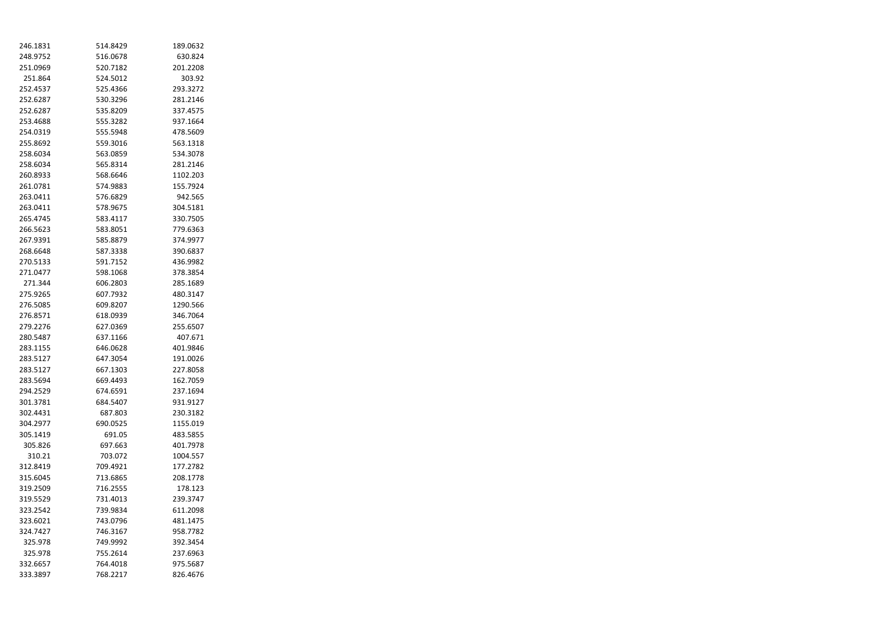| 246.1831 | 514.8429 | 189.0632 |
|----------|----------|----------|
| 248.9752 | 516.0678 | 630.824  |
| 251.0969 | 520.7182 | 201.2208 |
| 251.864  | 524.5012 | 303.92   |
| 252.4537 | 525.4366 | 293.3272 |
| 252.6287 | 530.3296 | 281.2146 |
| 252.6287 | 535.8209 | 337.4575 |
| 253.4688 | 555.3282 | 937.1664 |
| 254.0319 | 555.5948 | 478.5609 |
| 255.8692 | 559.3016 | 563.1318 |
| 258.6034 | 563.0859 | 534.3078 |
| 258.6034 | 565.8314 | 281.2146 |
| 260.8933 | 568.6646 | 1102.203 |
| 261.0781 | 574.9883 | 155.7924 |
| 263.0411 | 576.6829 | 942.565  |
| 263.0411 | 578.9675 | 304.5181 |
| 265.4745 | 583.4117 | 330.7505 |
| 266.5623 | 583.8051 | 779.6363 |
| 267.9391 | 585.8879 | 374.9977 |
| 268.6648 | 587.3338 | 390.6837 |
| 270.5133 | 591.7152 | 436.9982 |
| 271.0477 | 598.1068 | 378.3854 |
| 271.344  | 606.2803 | 285.1689 |
| 275.9265 | 607.7932 | 480.3147 |
| 276.5085 | 609.8207 | 1290.566 |
| 276.8571 | 618.0939 | 346.7064 |
| 279.2276 | 627.0369 | 255.6507 |
| 280.5487 | 637.1166 | 407.671  |
| 283.1155 | 646.0628 | 401.9846 |
| 283.5127 | 647.3054 | 191.0026 |
| 283.5127 | 667.1303 | 227.8058 |
| 283.5694 | 669.4493 | 162.7059 |
| 294.2529 | 674.6591 | 237.1694 |
| 301.3781 | 684.5407 | 931.9127 |
| 302.4431 | 687.803  | 230.3182 |
| 304.2977 | 690.0525 | 1155.019 |
| 305.1419 | 691.05   | 483.5855 |
| 305.826  | 697.663  | 401.7978 |
| 310.21   | 703.072  | 1004.557 |
| 312.8419 | 709.4921 | 177.2782 |
| 315.6045 | 713.6865 | 208.1778 |
| 319.2509 | 716.2555 | 178.123  |
| 319.5529 | 731.4013 | 239.3747 |
| 323.2542 | 739.9834 | 611.2098 |
| 323.6021 | 743.0796 | 481.1475 |
| 324.7427 | 746.3167 | 958.7782 |
| 325.978  | 749.9992 | 392.3454 |
| 325.978  | 755.2614 | 237.6963 |
| 332.6657 | 764.4018 | 975.5687 |
| 333.3897 | 768.2217 | 826.4676 |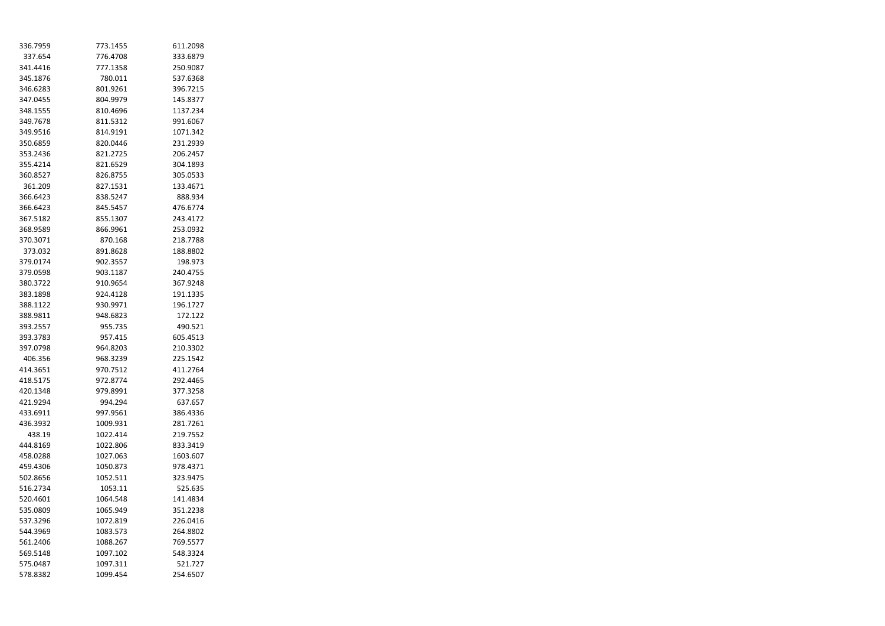| 336.7959 | 773.1455 | 611.2098 |
|----------|----------|----------|
| 337.654  | 776.4708 | 333.6879 |
| 341.4416 | 777.1358 | 250.9087 |
| 345.1876 | 780.011  | 537.6368 |
| 346.6283 | 801.9261 | 396.7215 |
| 347.0455 | 804.9979 | 145.8377 |
| 348.1555 | 810.4696 | 1137.234 |
| 349.7678 | 811.5312 | 991.6067 |
| 349.9516 | 814.9191 | 1071.342 |
| 350.6859 | 820.0446 | 231.2939 |
| 353.2436 | 821.2725 | 206.2457 |
| 355.4214 | 821.6529 | 304.1893 |
| 360.8527 | 826.8755 | 305.0533 |
| 361.209  | 827.1531 | 133.4671 |
| 366.6423 | 838.5247 | 888.934  |
| 366.6423 | 845.5457 | 476.6774 |
| 367.5182 | 855.1307 | 243.4172 |
| 368.9589 | 866.9961 | 253.0932 |
| 370.3071 | 870.168  | 218.7788 |
| 373.032  | 891.8628 | 188.8802 |
| 379.0174 | 902.3557 | 198.973  |
| 379.0598 | 903.1187 | 240.4755 |
| 380.3722 | 910.9654 | 367.9248 |
| 383.1898 | 924.4128 | 191.1335 |
| 388.1122 | 930.9971 | 196.1727 |
| 388.9811 | 948.6823 | 172.122  |
| 393.2557 | 955.735  | 490.521  |
| 393.3783 | 957.415  | 605.4513 |
| 397.0798 | 964.8203 | 210.3302 |
| 406.356  | 968.3239 | 225.1542 |
| 414.3651 | 970.7512 | 411.2764 |
| 418.5175 | 972.8774 | 292.4465 |
| 420.1348 | 979.8991 | 377.3258 |
| 421.9294 | 994.294  | 637.657  |
| 433.6911 | 997.9561 | 386.4336 |
| 436.3932 | 1009.931 | 281.7261 |
| 438.19   | 1022.414 | 219.7552 |
| 444.8169 | 1022.806 | 833.3419 |
| 458.0288 | 1027.063 | 1603.607 |
| 459.4306 | 1050.873 | 978.4371 |
| 502.8656 | 1052.511 | 323.9475 |
| 516.2734 | 1053.11  | 525.635  |
| 520.4601 | 1064.548 | 141.4834 |
| 535.0809 | 1065.949 | 351.2238 |
| 537.3296 | 1072.819 | 226.0416 |
| 544.3969 | 1083.573 | 264.8802 |
| 561.2406 | 1088.267 | 769.5577 |
| 569.5148 | 1097.102 | 548.3324 |
| 575.0487 | 1097.311 | 521.727  |
| 578.8382 | 1099.454 | 254.6507 |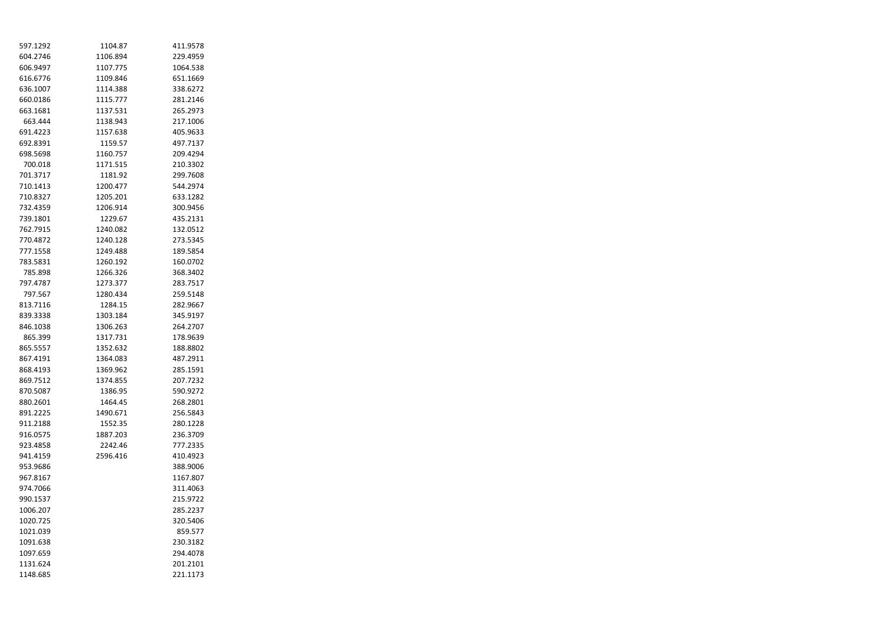| 597.1292 | 1104.87  | 411.9578 |
|----------|----------|----------|
| 604.2746 | 1106.894 | 229.4959 |
| 606.9497 | 1107.775 | 1064.538 |
| 616.6776 | 1109.846 | 651.1669 |
| 636.1007 | 1114.388 | 338.6272 |
| 660.0186 | 1115.777 | 281.2146 |
| 663.1681 | 1137.531 | 265.2973 |
| 663.444  | 1138.943 | 217.1006 |
| 691.4223 | 1157.638 | 405.9633 |
| 692.8391 | 1159.57  | 497.7137 |
| 698.5698 | 1160.757 | 209.4294 |
| 700.018  | 1171.515 | 210.3302 |
| 701.3717 | 1181.92  | 299.7608 |
| 710.1413 | 1200.477 | 544.2974 |
| 710.8327 | 1205.201 | 633.1282 |
| 732.4359 | 1206.914 | 300.9456 |
| 739.1801 | 1229.67  | 435.2131 |
| 762.7915 | 1240.082 | 132.0512 |
| 770.4872 | 1240.128 | 273.5345 |
| 777.1558 | 1249.488 | 189.5854 |
| 783.5831 | 1260.192 | 160.0702 |
| 785.898  | 1266.326 | 368.3402 |
| 797.4787 | 1273.377 | 283.7517 |
| 797.567  | 1280.434 | 259.5148 |
| 813.7116 | 1284.15  | 282.9667 |
| 839.3338 | 1303.184 | 345.9197 |
| 846.1038 | 1306.263 | 264.2707 |
| 865.399  | 1317.731 | 178.9639 |
| 865.5557 | 1352.632 | 188.8802 |
| 867.4191 | 1364.083 | 487.2911 |
| 868.4193 | 1369.962 | 285.1591 |
| 869.7512 | 1374.855 | 207.7232 |
| 870.5087 | 1386.95  | 590.9272 |
| 880.2601 | 1464.45  | 268.2801 |
| 891.2225 | 1490.671 | 256.5843 |
| 911.2188 | 1552.35  | 280.1228 |
| 916.0575 | 1887.203 | 236.3709 |
| 923.4858 | 2242.46  | 777.2335 |
| 941.4159 | 2596.416 | 410.4923 |
| 953.9686 |          | 388.9006 |
| 967.8167 |          | 1167.807 |
| 974.7066 |          | 311.4063 |
| 990.1537 |          | 215.9722 |
| 1006.207 |          | 285.2237 |
| 1020.725 |          | 320.5406 |
| 1021.039 |          | 859.577  |
| 1091.638 |          | 230.3182 |
| 1097.659 |          | 294.4078 |
| 1131.624 |          | 201.2101 |
| 1148.685 |          | 221.1173 |